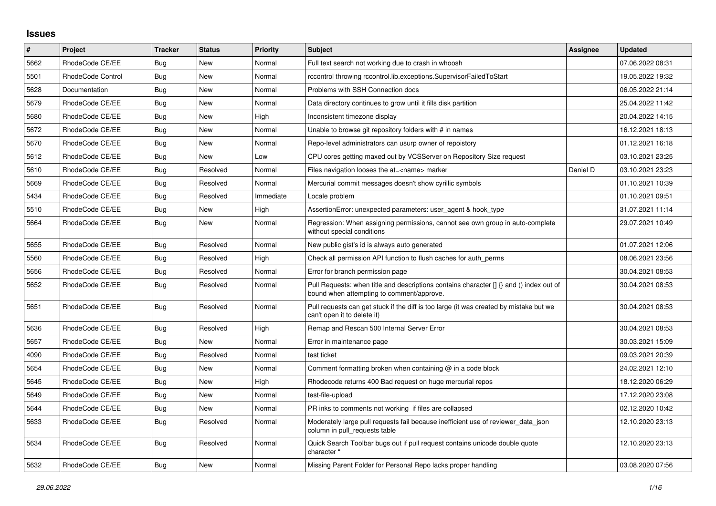## **Issues**

| #    | Project           | <b>Tracker</b> | <b>Status</b> | <b>Priority</b> | <b>Subject</b>                                                                                                                       | <b>Assignee</b> | <b>Updated</b>   |
|------|-------------------|----------------|---------------|-----------------|--------------------------------------------------------------------------------------------------------------------------------------|-----------------|------------------|
| 5662 | RhodeCode CE/EE   | Bug            | <b>New</b>    | Normal          | Full text search not working due to crash in whoosh                                                                                  |                 | 07.06.2022 08:31 |
| 5501 | RhodeCode Control | Bug            | <b>New</b>    | Normal          | rccontrol throwing rccontrol.lib.exceptions.SupervisorFailedToStart                                                                  |                 | 19.05.2022 19:32 |
| 5628 | Documentation     | Bug            | <b>New</b>    | Normal          | Problems with SSH Connection docs                                                                                                    |                 | 06.05.2022 21:14 |
| 5679 | RhodeCode CE/EE   | Bug            | <b>New</b>    | Normal          | Data directory continues to grow until it fills disk partition                                                                       |                 | 25.04.2022 11:42 |
| 5680 | RhodeCode CE/EE   | <b>Bug</b>     | <b>New</b>    | High            | Inconsistent timezone display                                                                                                        |                 | 20.04.2022 14:15 |
| 5672 | RhodeCode CE/EE   | Bug            | <b>New</b>    | Normal          | Unable to browse git repository folders with # in names                                                                              |                 | 16.12.2021 18:13 |
| 5670 | RhodeCode CE/EE   | Bug            | <b>New</b>    | Normal          | Repo-level administrators can usurp owner of repoistory                                                                              |                 | 01.12.2021 16:18 |
| 5612 | RhodeCode CE/EE   | Bug            | New           | Low             | CPU cores getting maxed out by VCSServer on Repository Size request                                                                  |                 | 03.10.2021 23:25 |
| 5610 | RhodeCode CE/EE   | Bug            | Resolved      | Normal          | Files navigation looses the at= <name> marker</name>                                                                                 | Daniel D        | 03.10.2021 23:23 |
| 5669 | RhodeCode CE/EE   | <b>Bug</b>     | Resolved      | Normal          | Mercurial commit messages doesn't show cyrillic symbols                                                                              |                 | 01.10.2021 10:39 |
| 5434 | RhodeCode CE/EE   | Bug            | Resolved      | Immediate       | Locale problem                                                                                                                       |                 | 01.10.2021 09:51 |
| 5510 | RhodeCode CE/EE   | Bug            | <b>New</b>    | High            | AssertionError: unexpected parameters: user agent & hook type                                                                        |                 | 31.07.2021 11:14 |
| 5664 | RhodeCode CE/EE   | <b>Bug</b>     | <b>New</b>    | Normal          | Regression: When assigning permissions, cannot see own group in auto-complete<br>without special conditions                          |                 | 29.07.2021 10:49 |
| 5655 | RhodeCode CE/EE   | Bug            | Resolved      | Normal          | New public gist's id is always auto generated                                                                                        |                 | 01.07.2021 12:06 |
| 5560 | RhodeCode CE/EE   | <b>Bug</b>     | Resolved      | High            | Check all permission API function to flush caches for auth_perms                                                                     |                 | 08.06.2021 23:56 |
| 5656 | RhodeCode CE/EE   | <b>Bug</b>     | Resolved      | Normal          | Error for branch permission page                                                                                                     |                 | 30.04.2021 08:53 |
| 5652 | RhodeCode CE/EE   | Bug            | Resolved      | Normal          | Pull Requests: when title and descriptions contains character [] {} and () index out of<br>bound when attempting to comment/approve. |                 | 30.04.2021 08:53 |
| 5651 | RhodeCode CE/EE   | <b>Bug</b>     | Resolved      | Normal          | Pull requests can get stuck if the diff is too large (it was created by mistake but we<br>can't open it to delete it)                |                 | 30.04.2021 08:53 |
| 5636 | RhodeCode CE/EE   | <b>Bug</b>     | Resolved      | High            | Remap and Rescan 500 Internal Server Error                                                                                           |                 | 30.04.2021 08:53 |
| 5657 | RhodeCode CE/EE   | Bug            | New           | Normal          | Error in maintenance page                                                                                                            |                 | 30.03.2021 15:09 |
| 4090 | RhodeCode CE/EE   | Bug            | Resolved      | Normal          | test ticket                                                                                                                          |                 | 09.03.2021 20:39 |
| 5654 | RhodeCode CE/EE   | <b>Bug</b>     | <b>New</b>    | Normal          | Comment formatting broken when containing $@$ in a code block                                                                        |                 | 24.02.2021 12:10 |
| 5645 | RhodeCode CE/EE   | Bug            | New           | High            | Rhodecode returns 400 Bad request on huge mercurial repos                                                                            |                 | 18.12.2020 06:29 |
| 5649 | RhodeCode CE/EE   | Bug            | <b>New</b>    | Normal          | test-file-upload                                                                                                                     |                 | 17.12.2020 23:08 |
| 5644 | RhodeCode CE/EE   | <b>Bug</b>     | New           | Normal          | PR inks to comments not working if files are collapsed                                                                               |                 | 02.12.2020 10:42 |
| 5633 | RhodeCode CE/EE   | Bug            | Resolved      | Normal          | Moderately large pull requests fail because inefficient use of reviewer data json<br>column in pull requests table                   |                 | 12.10.2020 23:13 |
| 5634 | RhodeCode CE/EE   | <b>Bug</b>     | Resolved      | Normal          | Quick Search Toolbar bugs out if pull request contains unicode double quote<br>character "                                           |                 | 12.10.2020 23:13 |
| 5632 | RhodeCode CE/EE   | Bug            | <b>New</b>    | Normal          | Missing Parent Folder for Personal Repo lacks proper handling                                                                        |                 | 03.08.2020 07:56 |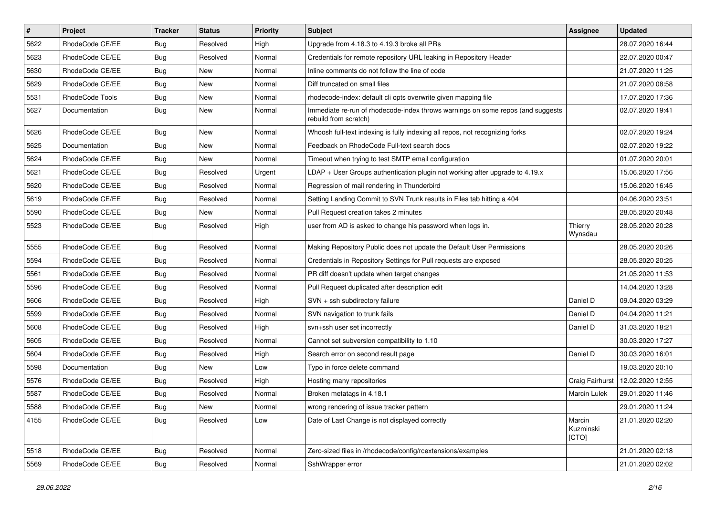| $\vert$ # | Project         | <b>Tracker</b> | <b>Status</b> | <b>Priority</b> | <b>Subject</b>                                                                                           | Assignee                     | <b>Updated</b>   |
|-----------|-----------------|----------------|---------------|-----------------|----------------------------------------------------------------------------------------------------------|------------------------------|------------------|
| 5622      | RhodeCode CE/EE | <b>Bug</b>     | Resolved      | High            | Upgrade from 4.18.3 to 4.19.3 broke all PRs                                                              |                              | 28.07.2020 16:44 |
| 5623      | RhodeCode CE/EE | Bug            | Resolved      | Normal          | Credentials for remote repository URL leaking in Repository Header                                       |                              | 22.07.2020 00:47 |
| 5630      | RhodeCode CE/EE | Bug            | New           | Normal          | Inline comments do not follow the line of code                                                           |                              | 21.07.2020 11:25 |
| 5629      | RhodeCode CE/EE | <b>Bug</b>     | New           | Normal          | Diff truncated on small files                                                                            |                              | 21.07.2020 08:58 |
| 5531      | RhodeCode Tools | Bug            | <b>New</b>    | Normal          | rhodecode-index: default cli opts overwrite given mapping file                                           |                              | 17.07.2020 17:36 |
| 5627      | Documentation   | Bug            | New           | Normal          | Immediate re-run of rhodecode-index throws warnings on some repos (and suggests<br>rebuild from scratch) |                              | 02.07.2020 19:41 |
| 5626      | RhodeCode CE/EE | Bug            | New           | Normal          | Whoosh full-text indexing is fully indexing all repos, not recognizing forks                             |                              | 02.07.2020 19:24 |
| 5625      | Documentation   | Bug            | New           | Normal          | Feedback on RhodeCode Full-text search docs                                                              |                              | 02.07.2020 19:22 |
| 5624      | RhodeCode CE/EE | <b>Bug</b>     | <b>New</b>    | Normal          | Timeout when trying to test SMTP email configuration                                                     |                              | 01.07.2020 20:01 |
| 5621      | RhodeCode CE/EE | Bug            | Resolved      | Urgent          | LDAP + User Groups authentication plugin not working after upgrade to 4.19.x                             |                              | 15.06.2020 17:56 |
| 5620      | RhodeCode CE/EE | Bug            | Resolved      | Normal          | Regression of mail rendering in Thunderbird                                                              |                              | 15.06.2020 16:45 |
| 5619      | RhodeCode CE/EE | Bug            | Resolved      | Normal          | Setting Landing Commit to SVN Trunk results in Files tab hitting a 404                                   |                              | 04.06.2020 23:51 |
| 5590      | RhodeCode CE/EE | Bug            | New           | Normal          | Pull Request creation takes 2 minutes                                                                    |                              | 28.05.2020 20:48 |
| 5523      | RhodeCode CE/EE | Bug            | Resolved      | High            | user from AD is asked to change his password when logs in.                                               | Thierry<br>Wynsdau           | 28.05.2020 20:28 |
| 5555      | RhodeCode CE/EE | <b>Bug</b>     | Resolved      | Normal          | Making Repository Public does not update the Default User Permissions                                    |                              | 28.05.2020 20:26 |
| 5594      | RhodeCode CE/EE | <b>Bug</b>     | Resolved      | Normal          | Credentials in Repository Settings for Pull requests are exposed                                         |                              | 28.05.2020 20:25 |
| 5561      | RhodeCode CE/EE | Bug            | Resolved      | Normal          | PR diff doesn't update when target changes                                                               |                              | 21.05.2020 11:53 |
| 5596      | RhodeCode CE/EE | Bug            | Resolved      | Normal          | Pull Request duplicated after description edit                                                           |                              | 14.04.2020 13:28 |
| 5606      | RhodeCode CE/EE | Bug            | Resolved      | High            | SVN + ssh subdirectory failure                                                                           | Daniel D                     | 09.04.2020 03:29 |
| 5599      | RhodeCode CE/EE | Bug            | Resolved      | Normal          | SVN navigation to trunk fails                                                                            | Daniel D                     | 04.04.2020 11:21 |
| 5608      | RhodeCode CE/EE | Bug            | Resolved      | High            | svn+ssh user set incorrectly                                                                             | Daniel D                     | 31.03.2020 18:21 |
| 5605      | RhodeCode CE/EE | Bug            | Resolved      | Normal          | Cannot set subversion compatibility to 1.10                                                              |                              | 30.03.2020 17:27 |
| 5604      | RhodeCode CE/EE | Bug            | Resolved      | High            | Search error on second result page                                                                       | Daniel D                     | 30.03.2020 16:01 |
| 5598      | Documentation   | Bug            | <b>New</b>    | Low             | Typo in force delete command                                                                             |                              | 19.03.2020 20:10 |
| 5576      | RhodeCode CE/EE | Bug            | Resolved      | High            | Hosting many repositories                                                                                | Craig Fairhurst              | 12.02.2020 12:55 |
| 5587      | RhodeCode CE/EE | <b>Bug</b>     | Resolved      | Normal          | Broken metatags in 4.18.1                                                                                | <b>Marcin Lulek</b>          | 29.01.2020 11:46 |
| 5588      | RhodeCode CE/EE | Bug            | New           | Normal          | wrong rendering of issue tracker pattern                                                                 |                              | 29.01.2020 11:24 |
| 4155      | RhodeCode CE/EE | Bug            | Resolved      | Low             | Date of Last Change is not displayed correctly                                                           | Marcin<br>Kuzminski<br>[CTO] | 21.01.2020 02:20 |
| 5518      | RhodeCode CE/EE | Bug            | Resolved      | Normal          | Zero-sized files in /rhodecode/config/rcextensions/examples                                              |                              | 21.01.2020 02:18 |
| 5569      | RhodeCode CE/EE | Bug            | Resolved      | Normal          | SshWrapper error                                                                                         |                              | 21.01.2020 02:02 |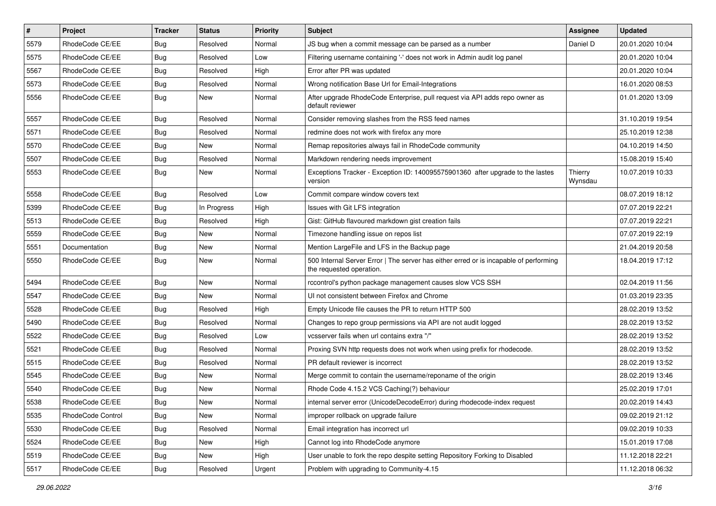| $\vert$ # | Project           | <b>Tracker</b> | <b>Status</b> | Priority | Subject                                                                                                           | <b>Assignee</b>    | <b>Updated</b>   |
|-----------|-------------------|----------------|---------------|----------|-------------------------------------------------------------------------------------------------------------------|--------------------|------------------|
| 5579      | RhodeCode CE/EE   | Bug            | Resolved      | Normal   | JS bug when a commit message can be parsed as a number                                                            | Daniel D           | 20.01.2020 10:04 |
| 5575      | RhodeCode CE/EE   | Bug            | Resolved      | Low      | Filtering username containing '-' does not work in Admin audit log panel                                          |                    | 20.01.2020 10:04 |
| 5567      | RhodeCode CE/EE   | Bug            | Resolved      | High     | Error after PR was updated                                                                                        |                    | 20.01.2020 10:04 |
| 5573      | RhodeCode CE/EE   | Bug            | Resolved      | Normal   | Wrong notification Base Url for Email-Integrations                                                                |                    | 16.01.2020 08:53 |
| 5556      | RhodeCode CE/EE   | Bug            | <b>New</b>    | Normal   | After upgrade RhodeCode Enterprise, pull request via API adds repo owner as<br>default reviewer                   |                    | 01.01.2020 13:09 |
| 5557      | RhodeCode CE/EE   | Bug            | Resolved      | Normal   | Consider removing slashes from the RSS feed names                                                                 |                    | 31.10.2019 19:54 |
| 5571      | RhodeCode CE/EE   | Bug            | Resolved      | Normal   | redmine does not work with firefox any more                                                                       |                    | 25.10.2019 12:38 |
| 5570      | RhodeCode CE/EE   | <b>Bug</b>     | New           | Normal   | Remap repositories always fail in RhodeCode community                                                             |                    | 04.10.2019 14:50 |
| 5507      | RhodeCode CE/EE   | Bug            | Resolved      | Normal   | Markdown rendering needs improvement                                                                              |                    | 15.08.2019 15:40 |
| 5553      | RhodeCode CE/EE   | Bug            | New           | Normal   | Exceptions Tracker - Exception ID: 140095575901360 after upgrade to the lastes<br>version                         | Thierry<br>Wynsdau | 10.07.2019 10:33 |
| 5558      | RhodeCode CE/EE   | Bug            | Resolved      | Low      | Commit compare window covers text                                                                                 |                    | 08.07.2019 18:12 |
| 5399      | RhodeCode CE/EE   | <b>Bug</b>     | In Progress   | High     | Issues with Git LFS integration                                                                                   |                    | 07.07.2019 22:21 |
| 5513      | RhodeCode CE/EE   | Bug            | Resolved      | High     | Gist: GitHub flavoured markdown gist creation fails                                                               |                    | 07.07.2019 22:21 |
| 5559      | RhodeCode CE/EE   | <b>Bug</b>     | <b>New</b>    | Normal   | Timezone handling issue on repos list                                                                             |                    | 07.07.2019 22:19 |
| 5551      | Documentation     | Bug            | New           | Normal   | Mention LargeFile and LFS in the Backup page                                                                      |                    | 21.04.2019 20:58 |
| 5550      | RhodeCode CE/EE   | Bug            | New           | Normal   | 500 Internal Server Error   The server has either erred or is incapable of performing<br>the requested operation. |                    | 18.04.2019 17:12 |
| 5494      | RhodeCode CE/EE   | Bug            | <b>New</b>    | Normal   | rccontrol's python package management causes slow VCS SSH                                                         |                    | 02.04.2019 11:56 |
| 5547      | RhodeCode CE/EE   | Bug            | <b>New</b>    | Normal   | UI not consistent between Firefox and Chrome                                                                      |                    | 01.03.2019 23:35 |
| 5528      | RhodeCode CE/EE   | Bug            | Resolved      | High     | Empty Unicode file causes the PR to return HTTP 500                                                               |                    | 28.02.2019 13:52 |
| 5490      | RhodeCode CE/EE   | Bug            | Resolved      | Normal   | Changes to repo group permissions via API are not audit logged                                                    |                    | 28.02.2019 13:52 |
| 5522      | RhodeCode CE/EE   | Bug            | Resolved      | Low      | vcsserver fails when url contains extra "/"                                                                       |                    | 28.02.2019 13:52 |
| 5521      | RhodeCode CE/EE   | Bug            | Resolved      | Normal   | Proxing SVN http requests does not work when using prefix for rhodecode.                                          |                    | 28.02.2019 13:52 |
| 5515      | RhodeCode CE/EE   | Bug            | Resolved      | Normal   | PR default reviewer is incorrect                                                                                  |                    | 28.02.2019 13:52 |
| 5545      | RhodeCode CE/EE   | Bug            | New           | Normal   | Merge commit to contain the username/reponame of the origin                                                       |                    | 28.02.2019 13:46 |
| 5540      | RhodeCode CE/EE   | Bug            | New           | Normal   | Rhode Code 4.15.2 VCS Caching(?) behaviour                                                                        |                    | 25.02.2019 17:01 |
| 5538      | RhodeCode CE/EE   | Bug            | New           | Normal   | internal server error (UnicodeDecodeError) during rhodecode-index request                                         |                    | 20.02.2019 14:43 |
| 5535      | RhodeCode Control | Bug            | New           | Normal   | improper rollback on upgrade failure                                                                              |                    | 09.02.2019 21:12 |
| 5530      | RhodeCode CE/EE   | Bug            | Resolved      | Normal   | Email integration has incorrect url                                                                               |                    | 09.02.2019 10:33 |
| 5524      | RhodeCode CE/EE   | <b>Bug</b>     | New           | High     | Cannot log into RhodeCode anymore                                                                                 |                    | 15.01.2019 17:08 |
| 5519      | RhodeCode CE/EE   | Bug            | New           | High     | User unable to fork the repo despite setting Repository Forking to Disabled                                       |                    | 11.12.2018 22:21 |
| 5517      | RhodeCode CE/EE   | <b>Bug</b>     | Resolved      | Urgent   | Problem with upgrading to Community-4.15                                                                          |                    | 11.12.2018 06:32 |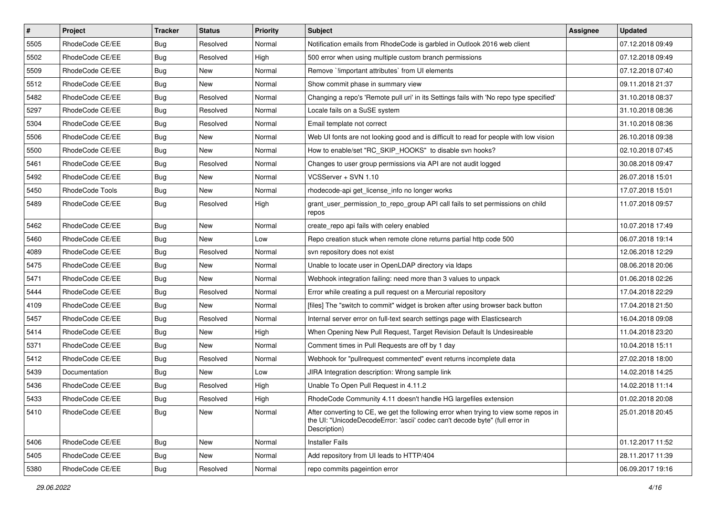| $\vert$ # | Project         | <b>Tracker</b> | <b>Status</b> | <b>Priority</b> | <b>Subject</b>                                                                                                                                                                       | <b>Assignee</b> | <b>Updated</b>   |
|-----------|-----------------|----------------|---------------|-----------------|--------------------------------------------------------------------------------------------------------------------------------------------------------------------------------------|-----------------|------------------|
| 5505      | RhodeCode CE/EE | <b>Bug</b>     | Resolved      | Normal          | Notification emails from RhodeCode is garbled in Outlook 2016 web client                                                                                                             |                 | 07.12.2018 09:49 |
| 5502      | RhodeCode CE/EE | <b>Bug</b>     | Resolved      | High            | 500 error when using multiple custom branch permissions                                                                                                                              |                 | 07.12.2018 09:49 |
| 5509      | RhodeCode CE/EE | <b>Bug</b>     | New           | Normal          | Remove `limportant attributes` from UI elements                                                                                                                                      |                 | 07.12.2018 07:40 |
| 5512      | RhodeCode CE/EE | <b>Bug</b>     | New           | Normal          | Show commit phase in summary view                                                                                                                                                    |                 | 09.11.2018 21:37 |
| 5482      | RhodeCode CE/EE | Bug            | Resolved      | Normal          | Changing a repo's 'Remote pull uri' in its Settings fails with 'No repo type specified'                                                                                              |                 | 31.10.2018 08:37 |
| 5297      | RhodeCode CE/EE | <b>Bug</b>     | Resolved      | Normal          | Locale fails on a SuSE system                                                                                                                                                        |                 | 31.10.2018 08:36 |
| 5304      | RhodeCode CE/EE | Bug            | Resolved      | Normal          | Email template not correct                                                                                                                                                           |                 | 31.10.2018 08:36 |
| 5506      | RhodeCode CE/EE | <b>Bug</b>     | New           | Normal          | Web UI fonts are not looking good and is difficult to read for people with low vision                                                                                                |                 | 26.10.2018 09:38 |
| 5500      | RhodeCode CE/EE | <b>Bug</b>     | New           | Normal          | How to enable/set "RC_SKIP_HOOKS" to disable svn hooks?                                                                                                                              |                 | 02.10.2018 07:45 |
| 5461      | RhodeCode CE/EE | Bug            | Resolved      | Normal          | Changes to user group permissions via API are not audit logged                                                                                                                       |                 | 30.08.2018 09:47 |
| 5492      | RhodeCode CE/EE | <b>Bug</b>     | New           | Normal          | VCSServer + SVN 1.10                                                                                                                                                                 |                 | 26.07.2018 15:01 |
| 5450      | RhodeCode Tools | <b>Bug</b>     | New           | Normal          | rhodecode-api get_license_info no longer works                                                                                                                                       |                 | 17.07.2018 15:01 |
| 5489      | RhodeCode CE/EE | Bug            | Resolved      | High            | grant_user_permission_to_repo_group API call fails to set permissions on child<br>repos                                                                                              |                 | 11.07.2018 09:57 |
| 5462      | RhodeCode CE/EE | <b>Bug</b>     | New           | Normal          | create_repo api fails with celery enabled                                                                                                                                            |                 | 10.07.2018 17:49 |
| 5460      | RhodeCode CE/EE | <b>Bug</b>     | New           | Low             | Repo creation stuck when remote clone returns partial http code 500                                                                                                                  |                 | 06.07.2018 19:14 |
| 4089      | RhodeCode CE/EE | <b>Bug</b>     | Resolved      | Normal          | svn repository does not exist                                                                                                                                                        |                 | 12.06.2018 12:29 |
| 5475      | RhodeCode CE/EE | Bug            | New           | Normal          | Unable to locate user in OpenLDAP directory via Idaps                                                                                                                                |                 | 08.06.2018 20:06 |
| 5471      | RhodeCode CE/EE | <b>Bug</b>     | New           | Normal          | Webhook integration failing: need more than 3 values to unpack                                                                                                                       |                 | 01.06.2018 02:26 |
| 5444      | RhodeCode CE/EE | Bug            | Resolved      | Normal          | Error while creating a pull request on a Mercurial repository                                                                                                                        |                 | 17.04.2018 22:29 |
| 4109      | RhodeCode CE/EE | <b>Bug</b>     | <b>New</b>    | Normal          | [files] The "switch to commit" widget is broken after using browser back button                                                                                                      |                 | 17.04.2018 21:50 |
| 5457      | RhodeCode CE/EE | <b>Bug</b>     | Resolved      | Normal          | Internal server error on full-text search settings page with Elasticsearch                                                                                                           |                 | 16.04.2018 09:08 |
| 5414      | RhodeCode CE/EE | <b>Bug</b>     | New           | High            | When Opening New Pull Request, Target Revision Default Is Undesireable                                                                                                               |                 | 11.04.2018 23:20 |
| 5371      | RhodeCode CE/EE | <b>Bug</b>     | New           | Normal          | Comment times in Pull Requests are off by 1 day                                                                                                                                      |                 | 10.04.2018 15:11 |
| 5412      | RhodeCode CE/EE | <b>Bug</b>     | Resolved      | Normal          | Webhook for "pullrequest commented" event returns incomplete data                                                                                                                    |                 | 27.02.2018 18:00 |
| 5439      | Documentation   | <b>Bug</b>     | <b>New</b>    | Low             | JIRA Integration description: Wrong sample link                                                                                                                                      |                 | 14.02.2018 14:25 |
| 5436      | RhodeCode CE/EE | <b>Bug</b>     | Resolved      | High            | Unable To Open Pull Request in 4.11.2                                                                                                                                                |                 | 14.02.2018 11:14 |
| 5433      | RhodeCode CE/EE | <b>Bug</b>     | Resolved      | High            | RhodeCode Community 4.11 doesn't handle HG largefiles extension                                                                                                                      |                 | 01.02.2018 20:08 |
| 5410      | RhodeCode CE/EE | <b>Bug</b>     | New           | Normal          | After converting to CE, we get the following error when trying to view some repos in<br>the UI: "UnicodeDecodeError: 'ascii' codec can't decode byte" (full error in<br>Description) |                 | 25.01.2018 20:45 |
| 5406      | RhodeCode CE/EE | Bug            | New           | Normal          | <b>Installer Fails</b>                                                                                                                                                               |                 | 01.12.2017 11:52 |
| 5405      | RhodeCode CE/EE | <b>Bug</b>     | New           | Normal          | Add repository from UI leads to HTTP/404                                                                                                                                             |                 | 28.11.2017 11:39 |
| 5380      | RhodeCode CE/EE | Bug            | Resolved      | Normal          | repo commits pageintion error                                                                                                                                                        |                 | 06.09.2017 19:16 |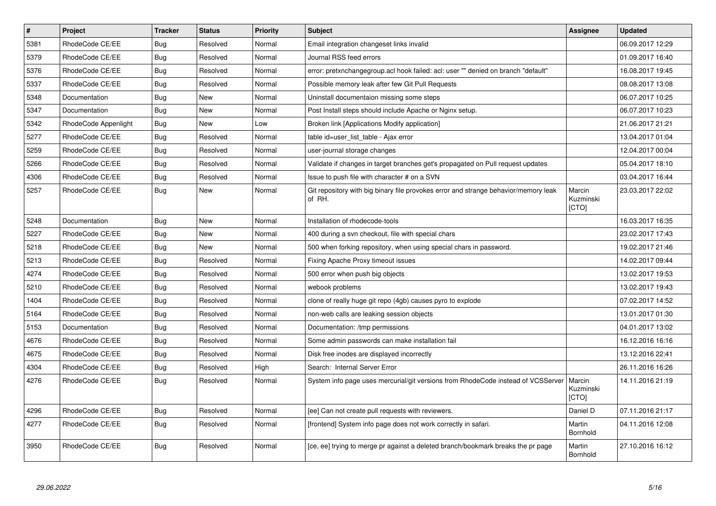| $\vert$ # | Project              | <b>Tracker</b> | <b>Status</b> | <b>Priority</b> | <b>Subject</b>                                                                                | Assignee                     | <b>Updated</b>   |
|-----------|----------------------|----------------|---------------|-----------------|-----------------------------------------------------------------------------------------------|------------------------------|------------------|
| 5381      | RhodeCode CE/EE      | Bug            | Resolved      | Normal          | Email integration changeset links invalid                                                     |                              | 06.09.2017 12:29 |
| 5379      | RhodeCode CE/EE      | Bug            | Resolved      | Normal          | Journal RSS feed errors                                                                       |                              | 01.09.2017 16:40 |
| 5376      | RhodeCode CE/EE      | Bug            | Resolved      | Normal          | error: pretxnchangegroup.acl hook failed: acl: user "" denied on branch "default"             |                              | 16.08.2017 19:45 |
| 5337      | RhodeCode CE/EE      | Bug            | Resolved      | Normal          | Possible memory leak after few Git Pull Requests                                              |                              | 08.08.2017 13:08 |
| 5348      | Documentation        | <b>Bug</b>     | <b>New</b>    | Normal          | Uninstall documentaion missing some steps                                                     |                              | 06.07.2017 10:25 |
| 5347      | Documentation        | Bug            | New           | Normal          | Post Install steps should include Apache or Nginx setup.                                      |                              | 06.07.2017 10:23 |
| 5342      | RhodeCode Appenlight | <b>Bug</b>     | <b>New</b>    | Low             | Broken link [Applications Modify application]                                                 |                              | 21.06.2017 21:21 |
| 5277      | RhodeCode CE/EE      | <b>Bug</b>     | Resolved      | Normal          | table id=user list table - Ajax error                                                         |                              | 13.04.2017 01:04 |
| 5259      | RhodeCode CE/EE      | <b>Bug</b>     | Resolved      | Normal          | user-journal storage changes                                                                  |                              | 12.04.2017 00:04 |
| 5266      | RhodeCode CE/EE      | Bug            | Resolved      | Normal          | Validate if changes in target branches get's propagated on Pull request updates               |                              | 05.04.2017 18:10 |
| 4306      | RhodeCode CE/EE      | <b>Bug</b>     | Resolved      | Normal          | Issue to push file with character # on a SVN                                                  |                              | 03.04.2017 16:44 |
| 5257      | RhodeCode CE/EE      | <b>Bug</b>     | <b>New</b>    | Normal          | Git repository with big binary file provokes error and strange behavior/memory leak<br>of RH. | Marcin<br>Kuzminski<br>[CTO] | 23.03.2017 22:02 |
| 5248      | Documentation        | <b>Bug</b>     | <b>New</b>    | Normal          | Installation of rhodecode-tools                                                               |                              | 16.03.2017 16:35 |
| 5227      | RhodeCode CE/EE      | Bug            | <b>New</b>    | Normal          | 400 during a svn checkout, file with special chars                                            |                              | 23.02.2017 17:43 |
| 5218      | RhodeCode CE/EE      | <b>Bug</b>     | <b>New</b>    | Normal          | 500 when forking repository, when using special chars in password.                            |                              | 19.02.2017 21:46 |
| 5213      | RhodeCode CE/EE      | <b>Bug</b>     | Resolved      | Normal          | Fixing Apache Proxy timeout issues                                                            |                              | 14.02.2017 09:44 |
| 4274      | RhodeCode CE/EE      | Bug            | Resolved      | Normal          | 500 error when push big objects                                                               |                              | 13.02.2017 19:53 |
| 5210      | RhodeCode CE/EE      | Bug            | Resolved      | Normal          | webook problems                                                                               |                              | 13.02.2017 19:43 |
| 1404      | RhodeCode CE/EE      | Bug            | Resolved      | Normal          | clone of really huge git repo (4gb) causes pyro to explode                                    |                              | 07.02.2017 14:52 |
| 5164      | RhodeCode CE/EE      | Bug            | Resolved      | Normal          | non-web calls are leaking session objects                                                     |                              | 13.01.2017 01:30 |
| 5153      | Documentation        | Bug            | Resolved      | Normal          | Documentation: /tmp permissions                                                               |                              | 04.01.2017 13:02 |
| 4676      | RhodeCode CE/EE      | Bug            | Resolved      | Normal          | Some admin passwords can make installation fail                                               |                              | 16.12.2016 16:16 |
| 4675      | RhodeCode CE/EE      | <b>Bug</b>     | Resolved      | Normal          | Disk free inodes are displayed incorrectly                                                    |                              | 13.12.2016 22:41 |
| 4304      | RhodeCode CE/EE      | Bug            | Resolved      | High            | Search: Internal Server Error                                                                 |                              | 26.11.2016 16:26 |
| 4276      | RhodeCode CE/EE      | <b>Bug</b>     | Resolved      | Normal          | System info page uses mercurial/git versions from RhodeCode instead of VCSServer              | Marcin<br>Kuzminski<br>[CTO] | 14.11.2016 21:19 |
| 4296      | RhodeCode CE/EE      | Bug            | Resolved      | Normal          | [ee] Can not create pull requests with reviewers.                                             | Daniel D                     | 07.11.2016 21:17 |
| 4277      | RhodeCode CE/EE      | Bug            | Resolved      | Normal          | [frontend] System info page does not work correctly in safari.                                | Martin<br>Bornhold           | 04.11.2016 12:08 |
| 3950      | RhodeCode CE/EE      | <b>Bug</b>     | Resolved      | Normal          | [ce, ee] trying to merge pr against a deleted branch/bookmark breaks the pr page              | Martin<br>Bornhold           | 27.10.2016 16:12 |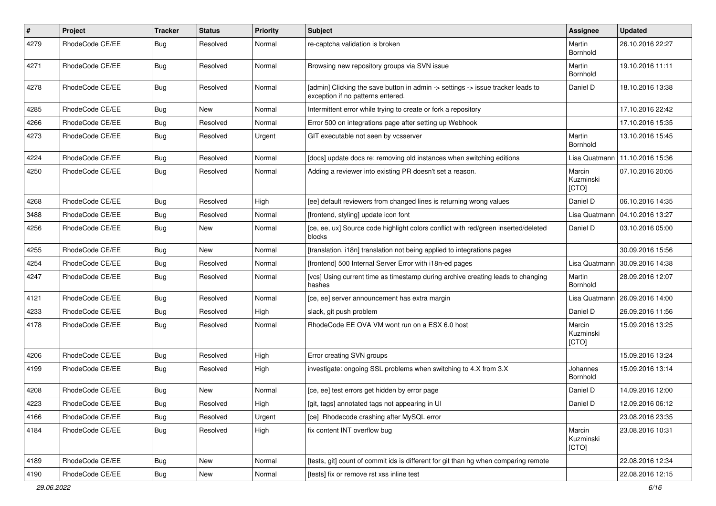| $\pmb{\#}$ | Project         | <b>Tracker</b> | <b>Status</b> | <b>Priority</b> | <b>Subject</b>                                                                                                       | <b>Assignee</b>              | <b>Updated</b>   |
|------------|-----------------|----------------|---------------|-----------------|----------------------------------------------------------------------------------------------------------------------|------------------------------|------------------|
| 4279       | RhodeCode CE/EE | <b>Bug</b>     | Resolved      | Normal          | re-captcha validation is broken                                                                                      | Martin<br>Bornhold           | 26.10.2016 22:27 |
| 4271       | RhodeCode CE/EE | Bug            | Resolved      | Normal          | Browsing new repository groups via SVN issue                                                                         | Martin<br>Bornhold           | 19.10.2016 11:11 |
| 4278       | RhodeCode CE/EE | Bug            | Resolved      | Normal          | [admin] Clicking the save button in admin -> settings -> issue tracker leads to<br>exception if no patterns entered. | Daniel D                     | 18.10.2016 13:38 |
| 4285       | RhodeCode CE/EE | Bug            | New           | Normal          | Intermittent error while trying to create or fork a repository                                                       |                              | 17.10.2016 22:42 |
| 4266       | RhodeCode CE/EE | Bug            | Resolved      | Normal          | Error 500 on integrations page after setting up Webhook                                                              |                              | 17.10.2016 15:35 |
| 4273       | RhodeCode CE/EE | <b>Bug</b>     | Resolved      | Urgent          | GIT executable not seen by vcsserver                                                                                 | Martin<br>Bornhold           | 13.10.2016 15:45 |
| 4224       | RhodeCode CE/EE | Bug            | Resolved      | Normal          | [docs] update docs re: removing old instances when switching editions                                                | Lisa Quatmann                | 11.10.2016 15:36 |
| 4250       | RhodeCode CE/EE | Bug            | Resolved      | Normal          | Adding a reviewer into existing PR doesn't set a reason.                                                             | Marcin<br>Kuzminski<br>[CTO] | 07.10.2016 20:05 |
| 4268       | RhodeCode CE/EE | <b>Bug</b>     | Resolved      | High            | [ee] default reviewers from changed lines is returning wrong values                                                  | Daniel D                     | 06.10.2016 14:35 |
| 3488       | RhodeCode CE/EE | <b>Bug</b>     | Resolved      | Normal          | [frontend, styling] update icon font                                                                                 | Lisa Quatmann                | 04.10.2016 13:27 |
| 4256       | RhodeCode CE/EE | Bug            | New           | Normal          | [ce, ee, ux] Source code highlight colors conflict with red/green inserted/deleted<br>blocks                         | Daniel D                     | 03.10.2016 05:00 |
| 4255       | RhodeCode CE/EE | Bug            | <b>New</b>    | Normal          | [translation, i18n] translation not being applied to integrations pages                                              |                              | 30.09.2016 15:56 |
| 4254       | RhodeCode CE/EE | <b>Bug</b>     | Resolved      | Normal          | [frontend] 500 Internal Server Error with i18n-ed pages                                                              | Lisa Quatmann                | 30.09.2016 14:38 |
| 4247       | RhodeCode CE/EE | Bug            | Resolved      | Normal          | [vcs] Using current time as timestamp during archive creating leads to changing<br>hashes                            | Martin<br>Bornhold           | 28.09.2016 12:07 |
| 4121       | RhodeCode CE/EE | Bug            | Resolved      | Normal          | [ce, ee] server announcement has extra margin                                                                        | Lisa Quatmann                | 26.09.2016 14:00 |
| 4233       | RhodeCode CE/EE | Bug            | Resolved      | High            | slack, git push problem                                                                                              | Daniel D                     | 26.09.2016 11:56 |
| 4178       | RhodeCode CE/EE | Bug            | Resolved      | Normal          | RhodeCode EE OVA VM wont run on a ESX 6.0 host                                                                       | Marcin<br>Kuzminski<br>[CTO] | 15.09.2016 13:25 |
| 4206       | RhodeCode CE/EE | Bug            | Resolved      | High            | Error creating SVN groups                                                                                            |                              | 15.09.2016 13:24 |
| 4199       | RhodeCode CE/EE | Bug            | Resolved      | High            | investigate: ongoing SSL problems when switching to 4.X from 3.X                                                     | Johannes<br>Bornhold         | 15.09.2016 13:14 |
| 4208       | RhodeCode CE/EE | Bug            | New           | Normal          | [ce, ee] test errors get hidden by error page                                                                        | Daniel D                     | 14.09.2016 12:00 |
| 4223       | RhodeCode CE/EE | Bug            | Resolved      | High            | [git, tags] annotated tags not appearing in UI                                                                       | Daniel D                     | 12.09.2016 06:12 |
| 4166       | RhodeCode CE/EE | <b>Bug</b>     | Resolved      | Urgent          | [ce] Rhodecode crashing after MySQL error                                                                            |                              | 23.08.2016 23:35 |
| 4184       | RhodeCode CE/EE | <b>Bug</b>     | Resolved      | High            | fix content INT overflow bug                                                                                         | Marcin<br>Kuzminski<br>[CTO] | 23.08.2016 10:31 |
| 4189       | RhodeCode CE/EE | Bug            | New           | Normal          | [tests, git] count of commit ids is different for git than hg when comparing remote                                  |                              | 22.08.2016 12:34 |
| 4190       | RhodeCode CE/EE | <b>Bug</b>     | New           | Normal          | [tests] fix or remove rst xss inline test                                                                            |                              | 22.08.2016 12:15 |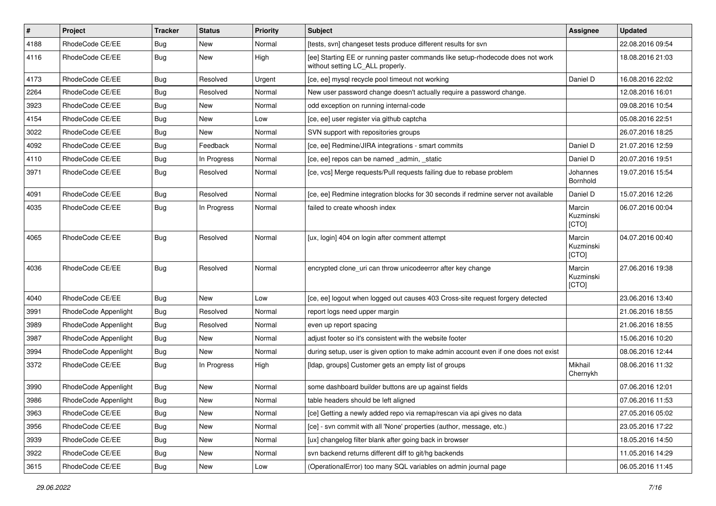| $\vert$ # | Project              | <b>Tracker</b> | <b>Status</b> | Priority | <b>Subject</b>                                                                                                     | <b>Assignee</b>              | <b>Updated</b>   |
|-----------|----------------------|----------------|---------------|----------|--------------------------------------------------------------------------------------------------------------------|------------------------------|------------------|
| 4188      | RhodeCode CE/EE      | <b>Bug</b>     | New           | Normal   | [tests, svn] changeset tests produce different results for svn                                                     |                              | 22.08.2016 09:54 |
| 4116      | RhodeCode CE/EE      | Bug            | New           | High     | [ee] Starting EE or running paster commands like setup-rhodecode does not work<br>without setting LC_ALL properly. |                              | 18.08.2016 21:03 |
| 4173      | RhodeCode CE/EE      | Bug            | Resolved      | Urgent   | [ce, ee] mysql recycle pool timeout not working                                                                    | Daniel D                     | 16.08.2016 22:02 |
| 2264      | RhodeCode CE/EE      | Bug            | Resolved      | Normal   | New user password change doesn't actually require a password change.                                               |                              | 12.08.2016 16:01 |
| 3923      | RhodeCode CE/EE      | Bug            | New           | Normal   | odd exception on running internal-code                                                                             |                              | 09.08.2016 10:54 |
| 4154      | RhodeCode CE/EE      | Bug            | New           | Low      | [ce, ee] user register via github captcha                                                                          |                              | 05.08.2016 22:51 |
| 3022      | RhodeCode CE/EE      | Bug            | <b>New</b>    | Normal   | SVN support with repositories groups                                                                               |                              | 26.07.2016 18:25 |
| 4092      | RhodeCode CE/EE      | <b>Bug</b>     | Feedback      | Normal   | [ce, ee] Redmine/JIRA integrations - smart commits                                                                 | Daniel D                     | 21.07.2016 12:59 |
| 4110      | RhodeCode CE/EE      | Bug            | In Progress   | Normal   | [ce, ee] repos can be named _admin, _static                                                                        | Daniel D                     | 20.07.2016 19:51 |
| 3971      | RhodeCode CE/EE      | Bug            | Resolved      | Normal   | [ce, vcs] Merge requests/Pull requests failing due to rebase problem                                               | Johannes<br>Bornhold         | 19.07.2016 15:54 |
| 4091      | RhodeCode CE/EE      | Bug            | Resolved      | Normal   | [ce, ee] Redmine integration blocks for 30 seconds if redmine server not available                                 | Daniel D                     | 15.07.2016 12:26 |
| 4035      | RhodeCode CE/EE      | Bug            | In Progress   | Normal   | failed to create whoosh index                                                                                      | Marcin<br>Kuzminski<br>[CTO] | 06.07.2016 00:04 |
| 4065      | RhodeCode CE/EE      | Bug            | Resolved      | Normal   | [ux, login] 404 on login after comment attempt                                                                     | Marcin<br>Kuzminski<br>[CTO] | 04.07.2016 00:40 |
| 4036      | RhodeCode CE/EE      | Bug            | Resolved      | Normal   | encrypted clone_uri can throw unicodeerror after key change                                                        | Marcin<br>Kuzminski<br>[CTO] | 27.06.2016 19:38 |
| 4040      | RhodeCode CE/EE      | Bug            | New           | Low      | [ce, ee] logout when logged out causes 403 Cross-site request forgery detected                                     |                              | 23.06.2016 13:40 |
| 3991      | RhodeCode Appenlight | Bug            | Resolved      | Normal   | report logs need upper margin                                                                                      |                              | 21.06.2016 18:55 |
| 3989      | RhodeCode Appenlight | Bug            | Resolved      | Normal   | even up report spacing                                                                                             |                              | 21.06.2016 18:55 |
| 3987      | RhodeCode Appenlight | Bug            | New           | Normal   | adjust footer so it's consistent with the website footer                                                           |                              | 15.06.2016 10:20 |
| 3994      | RhodeCode Appenlight | Bug            | <b>New</b>    | Normal   | during setup, user is given option to make admin account even if one does not exist                                |                              | 08.06.2016 12:44 |
| 3372      | RhodeCode CE/EE      | Bug            | In Progress   | High     | [Idap, groups] Customer gets an empty list of groups                                                               | Mikhail<br>Chernykh          | 08.06.2016 11:32 |
| 3990      | RhodeCode Appenlight | Bug            | New           | Normal   | some dashboard builder buttons are up against fields                                                               |                              | 07.06.2016 12:01 |
| 3986      | RhodeCode Appenlight | Bug            | <b>New</b>    | Normal   | table headers should be left aligned                                                                               |                              | 07.06.2016 11:53 |
| 3963      | RhodeCode CE/EE      | Bug            | New           | Normal   | [ce] Getting a newly added repo via remap/rescan via api gives no data                                             |                              | 27.05.2016 05:02 |
| 3956      | RhodeCode CE/EE      | <b>Bug</b>     | New           | Normal   | [ce] - svn commit with all 'None' properties (author, message, etc.)                                               |                              | 23.05.2016 17:22 |
| 3939      | RhodeCode CE/EE      | Bug            | New           | Normal   | [ux] changelog filter blank after going back in browser                                                            |                              | 18.05.2016 14:50 |
| 3922      | RhodeCode CE/EE      | Bug            | New           | Normal   | svn backend returns different diff to git/hg backends                                                              |                              | 11.05.2016 14:29 |
| 3615      | RhodeCode CE/EE      | Bug            | New           | Low      | (OperationalError) too many SQL variables on admin journal page                                                    |                              | 06.05.2016 11:45 |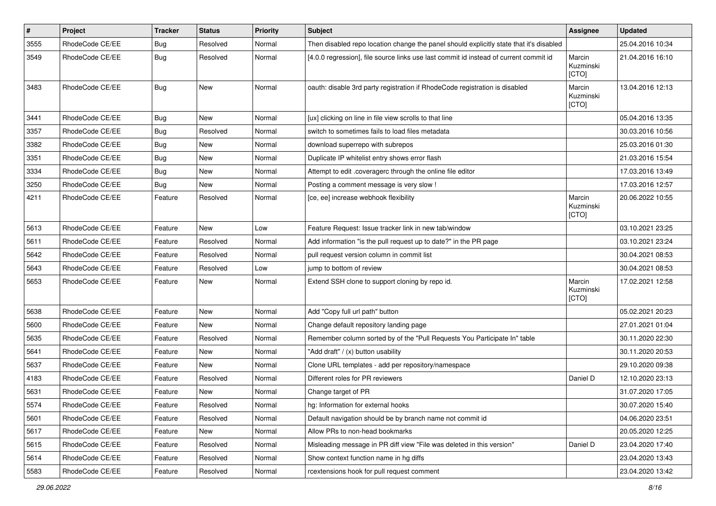| $\vert$ # | Project         | <b>Tracker</b> | <b>Status</b> | <b>Priority</b> | <b>Subject</b>                                                                          | Assignee                     | <b>Updated</b>   |
|-----------|-----------------|----------------|---------------|-----------------|-----------------------------------------------------------------------------------------|------------------------------|------------------|
| 3555      | RhodeCode CE/EE | <b>Bug</b>     | Resolved      | Normal          | Then disabled repo location change the panel should explicitly state that it's disabled |                              | 25.04.2016 10:34 |
| 3549      | RhodeCode CE/EE | Bug            | Resolved      | Normal          | [4.0.0 regression], file source links use last commit id instead of current commit id   | Marcin<br>Kuzminski<br>[CTO] | 21.04.2016 16:10 |
| 3483      | RhodeCode CE/EE | Bug            | <b>New</b>    | Normal          | oauth: disable 3rd party registration if RhodeCode registration is disabled             | Marcin<br>Kuzminski<br>[CTO] | 13.04.2016 12:13 |
| 3441      | RhodeCode CE/EE | Bug            | New           | Normal          | [ux] clicking on line in file view scrolls to that line                                 |                              | 05.04.2016 13:35 |
| 3357      | RhodeCode CE/EE | <b>Bug</b>     | Resolved      | Normal          | switch to sometimes fails to load files metadata                                        |                              | 30.03.2016 10:56 |
| 3382      | RhodeCode CE/EE | <b>Bug</b>     | New           | Normal          | download superrepo with subrepos                                                        |                              | 25.03.2016 01:30 |
| 3351      | RhodeCode CE/EE | <b>Bug</b>     | New           | Normal          | Duplicate IP whitelist entry shows error flash                                          |                              | 21.03.2016 15:54 |
| 3334      | RhodeCode CE/EE | <b>Bug</b>     | New           | Normal          | Attempt to edit .coveragerc through the online file editor                              |                              | 17.03.2016 13:49 |
| 3250      | RhodeCode CE/EE | <b>Bug</b>     | <b>New</b>    | Normal          | Posting a comment message is very slow !                                                |                              | 17.03.2016 12:57 |
| 4211      | RhodeCode CE/EE | Feature        | Resolved      | Normal          | [ce, ee] increase webhook flexibility                                                   | Marcin<br>Kuzminski<br>[CTO] | 20.06.2022 10:55 |
| 5613      | RhodeCode CE/EE | Feature        | New           | Low             | Feature Request: Issue tracker link in new tab/window                                   |                              | 03.10.2021 23:25 |
| 5611      | RhodeCode CE/EE | Feature        | Resolved      | Normal          | Add information "is the pull request up to date?" in the PR page                        |                              | 03.10.2021 23:24 |
| 5642      | RhodeCode CE/EE | Feature        | Resolved      | Normal          | pull request version column in commit list                                              |                              | 30.04.2021 08:53 |
| 5643      | RhodeCode CE/EE | Feature        | Resolved      | Low             | jump to bottom of review                                                                |                              | 30.04.2021 08:53 |
| 5653      | RhodeCode CE/EE | Feature        | New           | Normal          | Extend SSH clone to support cloning by repo id.                                         | Marcin<br>Kuzminski<br>[CTO] | 17.02.2021 12:58 |
| 5638      | RhodeCode CE/EE | Feature        | <b>New</b>    | Normal          | Add "Copy full url path" button                                                         |                              | 05.02.2021 20:23 |
| 5600      | RhodeCode CE/EE | Feature        | New           | Normal          | Change default repository landing page                                                  |                              | 27.01.2021 01:04 |
| 5635      | RhodeCode CE/EE | Feature        | Resolved      | Normal          | Remember column sorted by of the "Pull Requests You Participate In" table               |                              | 30.11.2020 22:30 |
| 5641      | RhodeCode CE/EE | Feature        | New           | Normal          | "Add draft" / (x) button usability                                                      |                              | 30.11.2020 20:53 |
| 5637      | RhodeCode CE/EE | Feature        | <b>New</b>    | Normal          | Clone URL templates - add per repository/namespace                                      |                              | 29.10.2020 09:38 |
| 4183      | RhodeCode CE/EE | Feature        | Resolved      | Normal          | Different roles for PR reviewers                                                        | Daniel D                     | 12.10.2020 23:13 |
| 5631      | RhodeCode CE/EE | Feature        | New           | Normal          | Change target of PR                                                                     |                              | 31.07.2020 17:05 |
| 5574      | RhodeCode CE/EE | Feature        | Resolved      | Normal          | hg: Information for external hooks                                                      |                              | 30.07.2020 15:40 |
| 5601      | RhodeCode CE/EE | Feature        | Resolved      | Normal          | Default navigation should be by branch name not commit id                               |                              | 04.06.2020 23:51 |
| 5617      | RhodeCode CE/EE | Feature        | New           | Normal          | Allow PRs to non-head bookmarks                                                         |                              | 20.05.2020 12:25 |
| 5615      | RhodeCode CE/EE | Feature        | Resolved      | Normal          | Misleading message in PR diff view "File was deleted in this version"                   | Daniel D                     | 23.04.2020 17:40 |
| 5614      | RhodeCode CE/EE | Feature        | Resolved      | Normal          | Show context function name in hg diffs                                                  |                              | 23.04.2020 13:43 |
| 5583      | RhodeCode CE/EE | Feature        | Resolved      | Normal          | rcextensions hook for pull request comment                                              |                              | 23.04.2020 13:42 |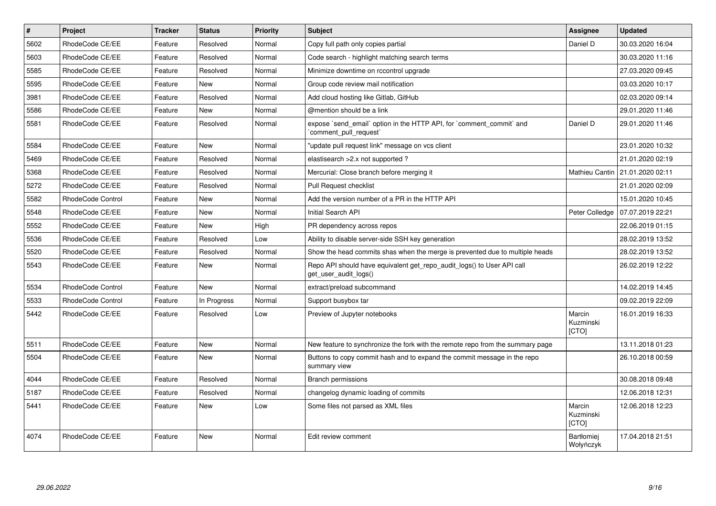| $\pmb{\#}$ | Project           | <b>Tracker</b> | <b>Status</b> | <b>Priority</b> | <b>Subject</b>                                                                                  | Assignee                       | <b>Updated</b>   |
|------------|-------------------|----------------|---------------|-----------------|-------------------------------------------------------------------------------------------------|--------------------------------|------------------|
| 5602       | RhodeCode CE/EE   | Feature        | Resolved      | Normal          | Copy full path only copies partial                                                              | Daniel D                       | 30.03.2020 16:04 |
| 5603       | RhodeCode CE/EE   | Feature        | Resolved      | Normal          | Code search - highlight matching search terms                                                   |                                | 30.03.2020 11:16 |
| 5585       | RhodeCode CE/EE   | Feature        | Resolved      | Normal          | Minimize downtime on rccontrol upgrade                                                          |                                | 27.03.2020 09:45 |
| 5595       | RhodeCode CE/EE   | Feature        | <b>New</b>    | Normal          | Group code review mail notification                                                             |                                | 03.03.2020 10:17 |
| 3981       | RhodeCode CE/EE   | Feature        | Resolved      | Normal          | Add cloud hosting like Gitlab, GitHub                                                           |                                | 02.03.2020 09:14 |
| 5586       | RhodeCode CE/EE   | Feature        | <b>New</b>    | Normal          | @mention should be a link                                                                       |                                | 29.01.2020 11:46 |
| 5581       | RhodeCode CE/EE   | Feature        | Resolved      | Normal          | expose `send email` option in the HTTP API, for `comment commit` and<br>comment pull request`   | Daniel D                       | 29.01.2020 11:46 |
| 5584       | RhodeCode CE/EE   | Feature        | New           | Normal          | "update pull request link" message on vcs client                                                |                                | 23.01.2020 10:32 |
| 5469       | RhodeCode CE/EE   | Feature        | Resolved      | Normal          | elastisearch > 2.x not supported ?                                                              |                                | 21.01.2020 02:19 |
| 5368       | RhodeCode CE/EE   | Feature        | Resolved      | Normal          | Mercurial: Close branch before merging it                                                       | Mathieu Cantin                 | 21.01.2020 02:11 |
| 5272       | RhodeCode CE/EE   | Feature        | Resolved      | Normal          | Pull Request checklist                                                                          |                                | 21.01.2020 02:09 |
| 5582       | RhodeCode Control | Feature        | New           | Normal          | Add the version number of a PR in the HTTP API                                                  |                                | 15.01.2020 10:45 |
| 5548       | RhodeCode CE/EE   | Feature        | <b>New</b>    | Normal          | Initial Search API                                                                              | Peter Colledge                 | 07.07.2019 22:21 |
| 5552       | RhodeCode CE/EE   | Feature        | <b>New</b>    | High            | PR dependency across repos                                                                      |                                | 22.06.2019 01:15 |
| 5536       | RhodeCode CE/EE   | Feature        | Resolved      | Low             | Ability to disable server-side SSH key generation                                               |                                | 28.02.2019 13:52 |
| 5520       | RhodeCode CE/EE   | Feature        | Resolved      | Normal          | Show the head commits shas when the merge is prevented due to multiple heads                    |                                | 28.02.2019 13:52 |
| 5543       | RhodeCode CE/EE   | Feature        | New           | Normal          | Repo API should have equivalent get repo audit logs() to User API call<br>get user audit logs() |                                | 26.02.2019 12:22 |
| 5534       | RhodeCode Control | Feature        | New           | Normal          | extract/preload subcommand                                                                      |                                | 14.02.2019 14:45 |
| 5533       | RhodeCode Control | Feature        | In Progress   | Normal          | Support busybox tar                                                                             |                                | 09.02.2019 22:09 |
| 5442       | RhodeCode CE/EE   | Feature        | Resolved      | Low             | Preview of Jupyter notebooks                                                                    | Marcin<br>Kuzminski<br>[CTO]   | 16.01.2019 16:33 |
| 5511       | RhodeCode CE/EE   | Feature        | New           | Normal          | New feature to synchronize the fork with the remote repo from the summary page                  |                                | 13.11.2018 01:23 |
| 5504       | RhodeCode CE/EE   | Feature        | <b>New</b>    | Normal          | Buttons to copy commit hash and to expand the commit message in the repo<br>summary view        |                                | 26.10.2018 00:59 |
| 4044       | RhodeCode CE/EE   | Feature        | Resolved      | Normal          | <b>Branch permissions</b>                                                                       |                                | 30.08.2018 09:48 |
| 5187       | RhodeCode CE/EE   | Feature        | Resolved      | Normal          | changelog dynamic loading of commits                                                            |                                | 12.06.2018 12:31 |
| 5441       | RhodeCode CE/EE   | Feature        | <b>New</b>    | Low             | Some files not parsed as XML files                                                              | Marcin<br>Kuzminski<br>[CTO]   | 12.06.2018 12:23 |
| 4074       | RhodeCode CE/EE   | Feature        | New           | Normal          | Edit review comment                                                                             | <b>Bartłomiei</b><br>Wołyńczyk | 17.04.2018 21:51 |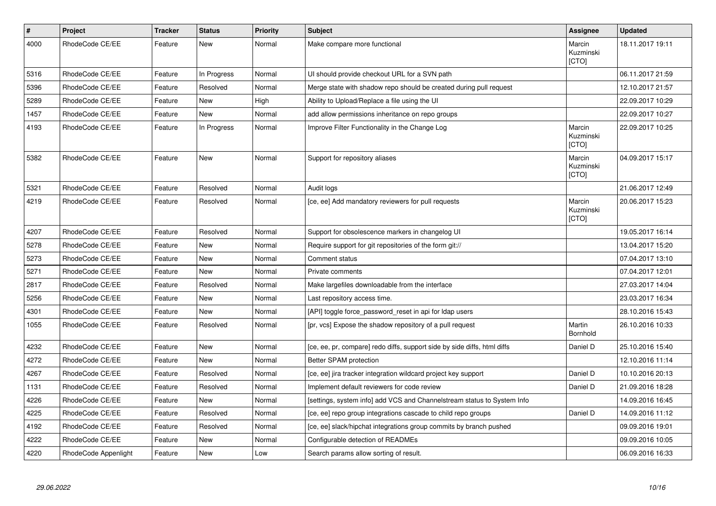| $\pmb{\#}$ | Project              | <b>Tracker</b> | <b>Status</b> | <b>Priority</b> | <b>Subject</b>                                                           | Assignee                     | <b>Updated</b>   |
|------------|----------------------|----------------|---------------|-----------------|--------------------------------------------------------------------------|------------------------------|------------------|
| 4000       | RhodeCode CE/EE      | Feature        | <b>New</b>    | Normal          | Make compare more functional                                             | Marcin<br>Kuzminski<br>[CTO] | 18.11.2017 19:11 |
| 5316       | RhodeCode CE/EE      | Feature        | In Progress   | Normal          | UI should provide checkout URL for a SVN path                            |                              | 06.11.2017 21:59 |
| 5396       | RhodeCode CE/EE      | Feature        | Resolved      | Normal          | Merge state with shadow repo should be created during pull request       |                              | 12.10.2017 21:57 |
| 5289       | RhodeCode CE/EE      | Feature        | New           | High            | Ability to Upload/Replace a file using the UI                            |                              | 22.09.2017 10:29 |
| 1457       | RhodeCode CE/EE      | Feature        | <b>New</b>    | Normal          | add allow permissions inheritance on repo groups                         |                              | 22.09.2017 10:27 |
| 4193       | RhodeCode CE/EE      | Feature        | In Progress   | Normal          | Improve Filter Functionality in the Change Log                           | Marcin<br>Kuzminski<br>[CTO] | 22.09.2017 10:25 |
| 5382       | RhodeCode CE/EE      | Feature        | <b>New</b>    | Normal          | Support for repository aliases                                           | Marcin<br>Kuzminski<br>[CTO] | 04.09.2017 15:17 |
| 5321       | RhodeCode CE/EE      | Feature        | Resolved      | Normal          | Audit logs                                                               |                              | 21.06.2017 12:49 |
| 4219       | RhodeCode CE/EE      | Feature        | Resolved      | Normal          | [ce, ee] Add mandatory reviewers for pull requests                       | Marcin<br>Kuzminski<br>[CTO] | 20.06.2017 15:23 |
| 4207       | RhodeCode CE/EE      | Feature        | Resolved      | Normal          | Support for obsolescence markers in changelog UI                         |                              | 19.05.2017 16:14 |
| 5278       | RhodeCode CE/EE      | Feature        | New           | Normal          | Require support for git repositories of the form git://                  |                              | 13.04.2017 15:20 |
| 5273       | RhodeCode CE/EE      | Feature        | <b>New</b>    | Normal          | Comment status                                                           |                              | 07.04.2017 13:10 |
| 5271       | RhodeCode CE/EE      | Feature        | <b>New</b>    | Normal          | Private comments                                                         |                              | 07.04.2017 12:01 |
| 2817       | RhodeCode CE/EE      | Feature        | Resolved      | Normal          | Make largefiles downloadable from the interface                          |                              | 27.03.2017 14:04 |
| 5256       | RhodeCode CE/EE      | Feature        | <b>New</b>    | Normal          | Last repository access time.                                             |                              | 23.03.2017 16:34 |
| 4301       | RhodeCode CE/EE      | Feature        | <b>New</b>    | Normal          | [API] toggle force_password_reset in api for Idap users                  |                              | 28.10.2016 15:43 |
| 1055       | RhodeCode CE/EE      | Feature        | Resolved      | Normal          | [pr, vcs] Expose the shadow repository of a pull request                 | Martin<br><b>Bornhold</b>    | 26.10.2016 10:33 |
| 4232       | RhodeCode CE/EE      | Feature        | New           | Normal          | [ce, ee, pr, compare] redo diffs, support side by side diffs, html diffs | Daniel D                     | 25.10.2016 15:40 |
| 4272       | RhodeCode CE/EE      | Feature        | New           | Normal          | Better SPAM protection                                                   |                              | 12.10.2016 11:14 |
| 4267       | RhodeCode CE/EE      | Feature        | Resolved      | Normal          | [ce, ee] jira tracker integration wildcard project key support           | Daniel D                     | 10.10.2016 20:13 |
| 1131       | RhodeCode CE/EE      | Feature        | Resolved      | Normal          | Implement default reviewers for code review                              | Daniel D                     | 21.09.2016 18:28 |
| 4226       | RhodeCode CE/EE      | Feature        | <b>New</b>    | Normal          | [settings, system info] add VCS and Channelstream status to System Info  |                              | 14.09.2016 16:45 |
| 4225       | RhodeCode CE/EE      | Feature        | Resolved      | Normal          | [ce, ee] repo group integrations cascade to child repo groups            | Daniel D                     | 14.09.2016 11:12 |
| 4192       | RhodeCode CE/EE      | Feature        | Resolved      | Normal          | [ce, ee] slack/hipchat integrations group commits by branch pushed       |                              | 09.09.2016 19:01 |
| 4222       | RhodeCode CE/EE      | Feature        | New           | Normal          | Configurable detection of READMEs                                        |                              | 09.09.2016 10:05 |
| 4220       | RhodeCode Appenlight | Feature        | <b>New</b>    | Low             | Search params allow sorting of result.                                   |                              | 06.09.2016 16:33 |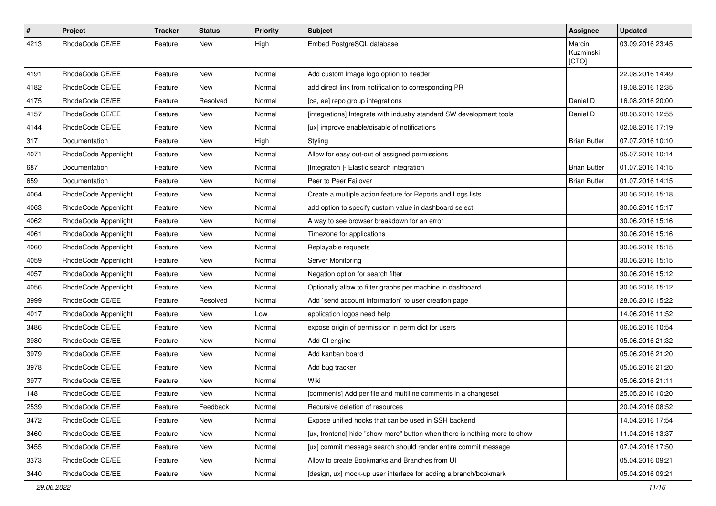| $\#$ | Project              | Tracker | <b>Status</b> | <b>Priority</b> | Subject                                                                   | Assignee                     | <b>Updated</b>   |
|------|----------------------|---------|---------------|-----------------|---------------------------------------------------------------------------|------------------------------|------------------|
| 4213 | RhodeCode CE/EE      | Feature | New           | High            | Embed PostgreSQL database                                                 | Marcin<br>Kuzminski<br>[CTO] | 03.09.2016 23:45 |
| 4191 | RhodeCode CE/EE      | Feature | New           | Normal          | Add custom Image logo option to header                                    |                              | 22.08.2016 14:49 |
| 4182 | RhodeCode CE/EE      | Feature | New           | Normal          | add direct link from notification to corresponding PR                     |                              | 19.08.2016 12:35 |
| 4175 | RhodeCode CE/EE      | Feature | Resolved      | Normal          | [ce, ee] repo group integrations                                          | Daniel D                     | 16.08.2016 20:00 |
| 4157 | RhodeCode CE/EE      | Feature | New           | Normal          | [integrations] Integrate with industry standard SW development tools      | Daniel D                     | 08.08.2016 12:55 |
| 4144 | RhodeCode CE/EE      | Feature | New           | Normal          | [ux] improve enable/disable of notifications                              |                              | 02.08.2016 17:19 |
| 317  | Documentation        | Feature | New           | High            | Styling                                                                   | <b>Brian Butler</b>          | 07.07.2016 10:10 |
| 4071 | RhodeCode Appenlight | Feature | New           | Normal          | Allow for easy out-out of assigned permissions                            |                              | 05.07.2016 10:14 |
| 687  | Documentation        | Feature | New           | Normal          | [Integraton] - Elastic search integration                                 | <b>Brian Butler</b>          | 01.07.2016 14:15 |
| 659  | Documentation        | Feature | New           | Normal          | Peer to Peer Failover                                                     | <b>Brian Butler</b>          | 01.07.2016 14:15 |
| 4064 | RhodeCode Appenlight | Feature | New           | Normal          | Create a multiple action feature for Reports and Logs lists               |                              | 30.06.2016 15:18 |
| 4063 | RhodeCode Appenlight | Feature | New           | Normal          | add option to specify custom value in dashboard select                    |                              | 30.06.2016 15:17 |
| 4062 | RhodeCode Appenlight | Feature | New           | Normal          | A way to see browser breakdown for an error                               |                              | 30.06.2016 15:16 |
| 4061 | RhodeCode Appenlight | Feature | New           | Normal          | Timezone for applications                                                 |                              | 30.06.2016 15:16 |
| 4060 | RhodeCode Appenlight | Feature | New           | Normal          | Replayable requests                                                       |                              | 30.06.2016 15:15 |
| 4059 | RhodeCode Appenlight | Feature | New           | Normal          | Server Monitoring                                                         |                              | 30.06.2016 15:15 |
| 4057 | RhodeCode Appenlight | Feature | New           | Normal          | Negation option for search filter                                         |                              | 30.06.2016 15:12 |
| 4056 | RhodeCode Appenlight | Feature | <b>New</b>    | Normal          | Optionally allow to filter graphs per machine in dashboard                |                              | 30.06.2016 15:12 |
| 3999 | RhodeCode CE/EE      | Feature | Resolved      | Normal          | Add `send account information` to user creation page                      |                              | 28.06.2016 15:22 |
| 4017 | RhodeCode Appenlight | Feature | New           | Low             | application logos need help                                               |                              | 14.06.2016 11:52 |
| 3486 | RhodeCode CE/EE      | Feature | New           | Normal          | expose origin of permission in perm dict for users                        |                              | 06.06.2016 10:54 |
| 3980 | RhodeCode CE/EE      | Feature | New           | Normal          | Add CI engine                                                             |                              | 05.06.2016 21:32 |
| 3979 | RhodeCode CE/EE      | Feature | New           | Normal          | Add kanban board                                                          |                              | 05.06.2016 21:20 |
| 3978 | RhodeCode CE/EE      | Feature | New           | Normal          | Add bug tracker                                                           |                              | 05.06.2016 21:20 |
| 3977 | RhodeCode CE/EE      | Feature | New           | Normal          | Wiki                                                                      |                              | 05.06.2016 21:11 |
| 148  | RhodeCode CE/EE      | Feature | New           | Normal          | [comments] Add per file and multiline comments in a changeset             |                              | 25.05.2016 10:20 |
| 2539 | RhodeCode CE/EE      | Feature | Feedback      | Normal          | Recursive deletion of resources                                           |                              | 20.04.2016 08:52 |
| 3472 | RhodeCode CE/EE      | Feature | New           | Normal          | Expose unified hooks that can be used in SSH backend                      |                              | 14.04.2016 17:54 |
| 3460 | RhodeCode CE/EE      | Feature | New           | Normal          | [ux, frontend] hide "show more" button when there is nothing more to show |                              | 11.04.2016 13:37 |
| 3455 | RhodeCode CE/EE      | Feature | New           | Normal          | [ux] commit message search should render entire commit message            |                              | 07.04.2016 17:50 |
| 3373 | RhodeCode CE/EE      | Feature | New           | Normal          | Allow to create Bookmarks and Branches from UI                            |                              | 05.04.2016 09:21 |
| 3440 | RhodeCode CE/EE      | Feature | New           | Normal          | [design, ux] mock-up user interface for adding a branch/bookmark          |                              | 05.04.2016 09:21 |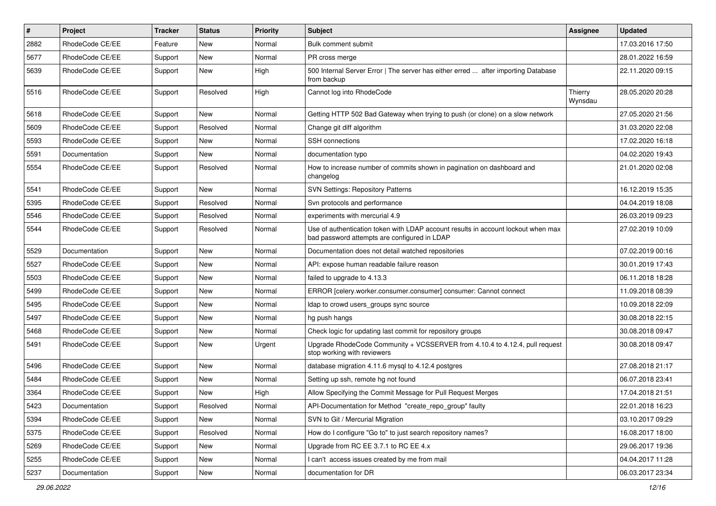| #    | Project         | <b>Tracker</b> | <b>Status</b> | <b>Priority</b> | <b>Subject</b>                                                                                                                    | <b>Assignee</b>    | <b>Updated</b>   |
|------|-----------------|----------------|---------------|-----------------|-----------------------------------------------------------------------------------------------------------------------------------|--------------------|------------------|
| 2882 | RhodeCode CE/EE | Feature        | New           | Normal          | Bulk comment submit                                                                                                               |                    | 17.03.2016 17:50 |
| 5677 | RhodeCode CE/EE | Support        | <b>New</b>    | Normal          | PR cross merge                                                                                                                    |                    | 28.01.2022 16:59 |
| 5639 | RhodeCode CE/EE | Support        | New           | High            | 500 Internal Server Error   The server has either erred  after importing Database<br>from backup                                  |                    | 22.11.2020 09:15 |
| 5516 | RhodeCode CE/EE | Support        | Resolved      | High            | Cannot log into RhodeCode                                                                                                         | Thierry<br>Wynsdau | 28.05.2020 20:28 |
| 5618 | RhodeCode CE/EE | Support        | New           | Normal          | Getting HTTP 502 Bad Gateway when trying to push (or clone) on a slow network                                                     |                    | 27.05.2020 21:56 |
| 5609 | RhodeCode CE/EE | Support        | Resolved      | Normal          | Change git diff algorithm                                                                                                         |                    | 31.03.2020 22:08 |
| 5593 | RhodeCode CE/EE | Support        | New           | Normal          | SSH connections                                                                                                                   |                    | 17.02.2020 16:18 |
| 5591 | Documentation   | Support        | <b>New</b>    | Normal          | documentation typo                                                                                                                |                    | 04.02.2020 19:43 |
| 5554 | RhodeCode CE/EE | Support        | Resolved      | Normal          | How to increase number of commits shown in pagination on dashboard and<br>changelog                                               |                    | 21.01.2020 02:08 |
| 5541 | RhodeCode CE/EE | Support        | New           | Normal          | <b>SVN Settings: Repository Patterns</b>                                                                                          |                    | 16.12.2019 15:35 |
| 5395 | RhodeCode CE/EE | Support        | Resolved      | Normal          | Svn protocols and performance                                                                                                     |                    | 04.04.2019 18:08 |
| 5546 | RhodeCode CE/EE | Support        | Resolved      | Normal          | experiments with mercurial 4.9                                                                                                    |                    | 26.03.2019 09:23 |
| 5544 | RhodeCode CE/EE | Support        | Resolved      | Normal          | Use of authentication token with LDAP account results in account lockout when max<br>bad password attempts are configured in LDAP |                    | 27.02.2019 10:09 |
| 5529 | Documentation   | Support        | <b>New</b>    | Normal          | Documentation does not detail watched repositories                                                                                |                    | 07.02.2019 00:16 |
| 5527 | RhodeCode CE/EE | Support        | New           | Normal          | API: expose human readable failure reason                                                                                         |                    | 30.01.2019 17:43 |
| 5503 | RhodeCode CE/EE | Support        | New           | Normal          | failed to upgrade to 4.13.3                                                                                                       |                    | 06.11.2018 18:28 |
| 5499 | RhodeCode CE/EE | Support        | New           | Normal          | ERROR [celery.worker.consumer.consumer] consumer: Cannot connect                                                                  |                    | 11.09.2018 08:39 |
| 5495 | RhodeCode CE/EE | Support        | New           | Normal          | Idap to crowd users_groups sync source                                                                                            |                    | 10.09.2018 22:09 |
| 5497 | RhodeCode CE/EE | Support        | New           | Normal          | hg push hangs                                                                                                                     |                    | 30.08.2018 22:15 |
| 5468 | RhodeCode CE/EE | Support        | New           | Normal          | Check logic for updating last commit for repository groups                                                                        |                    | 30.08.2018 09:47 |
| 5491 | RhodeCode CE/EE | Support        | New           | Urgent          | Upgrade RhodeCode Community + VCSSERVER from 4.10.4 to 4.12.4, pull request<br>stop working with reviewers                        |                    | 30.08.2018 09:47 |
| 5496 | RhodeCode CE/EE | Support        | New           | Normal          | database migration 4.11.6 mysql to 4.12.4 postgres                                                                                |                    | 27.08.2018 21:17 |
| 5484 | RhodeCode CE/EE | Support        | New           | Normal          | Setting up ssh, remote hg not found                                                                                               |                    | 06.07.2018 23:41 |
| 3364 | RhodeCode CE/EE | Support        | New           | High            | Allow Specifying the Commit Message for Pull Request Merges                                                                       |                    | 17.04.2018 21:51 |
| 5423 | Documentation   | Support        | Resolved      | Normal          | API-Documentation for Method "create_repo_group" faulty                                                                           |                    | 22.01.2018 16:23 |
| 5394 | RhodeCode CE/EE | Support        | New           | Normal          | SVN to Git / Mercurial Migration                                                                                                  |                    | 03.10.2017 09:29 |
| 5375 | RhodeCode CE/EE | Support        | Resolved      | Normal          | How do I configure "Go to" to just search repository names?                                                                       |                    | 16.08.2017 18:00 |
| 5269 | RhodeCode CE/EE | Support        | New           | Normal          | Upgrade from RC EE 3.7.1 to RC EE 4.x                                                                                             |                    | 29.06.2017 19:36 |
| 5255 | RhodeCode CE/EE | Support        | New           | Normal          | I can't access issues created by me from mail                                                                                     |                    | 04.04.2017 11:28 |
| 5237 | Documentation   | Support        | New           | Normal          | documentation for DR                                                                                                              |                    | 06.03.2017 23:34 |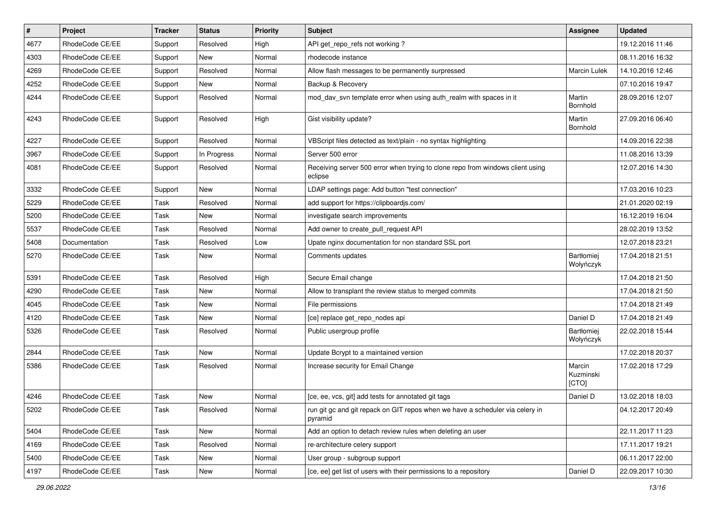| $\vert$ # | Project         | <b>Tracker</b> | <b>Status</b> | Priority | <b>Subject</b>                                                                            | <b>Assignee</b>              | <b>Updated</b>   |
|-----------|-----------------|----------------|---------------|----------|-------------------------------------------------------------------------------------------|------------------------------|------------------|
| 4677      | RhodeCode CE/EE | Support        | Resolved      | High     | API get repo refs not working?                                                            |                              | 19.12.2016 11:46 |
| 4303      | RhodeCode CE/EE | Support        | <b>New</b>    | Normal   | rhodecode instance                                                                        |                              | 08.11.2016 16:32 |
| 4269      | RhodeCode CE/EE | Support        | Resolved      | Normal   | Allow flash messages to be permanently surpressed                                         | Marcin Lulek                 | 14.10.2016 12:46 |
| 4252      | RhodeCode CE/EE | Support        | New           | Normal   | Backup & Recovery                                                                         |                              | 07.10.2016 19:47 |
| 4244      | RhodeCode CE/EE | Support        | Resolved      | Normal   | mod_dav_svn template error when using auth_realm with spaces in it                        | Martin<br>Bornhold           | 28.09.2016 12:07 |
| 4243      | RhodeCode CE/EE | Support        | Resolved      | High     | Gist visibility update?                                                                   | Martin<br>Bornhold           | 27.09.2016 06:40 |
| 4227      | RhodeCode CE/EE | Support        | Resolved      | Normal   | VBScript files detected as text/plain - no syntax highlighting                            |                              | 14.09.2016 22:38 |
| 3967      | RhodeCode CE/EE | Support        | In Progress   | Normal   | Server 500 error                                                                          |                              | 11.08.2016 13:39 |
| 4081      | RhodeCode CE/EE | Support        | Resolved      | Normal   | Receiving server 500 error when trying to clone repo from windows client using<br>eclipse |                              | 12.07.2016 14:30 |
| 3332      | RhodeCode CE/EE | Support        | New           | Normal   | LDAP settings page: Add button "test connection"                                          |                              | 17.03.2016 10:23 |
| 5229      | RhodeCode CE/EE | Task           | Resolved      | Normal   | add support for https://clipboardjs.com/                                                  |                              | 21.01.2020 02:19 |
| 5200      | RhodeCode CE/EE | Task           | New           | Normal   | investigate search improvements                                                           |                              | 16.12.2019 16:04 |
| 5537      | RhodeCode CE/EE | Task           | Resolved      | Normal   | Add owner to create_pull_request API                                                      |                              | 28.02.2019 13:52 |
| 5408      | Documentation   | Task           | Resolved      | Low      | Upate nginx documentation for non standard SSL port                                       |                              | 12.07.2018 23:21 |
| 5270      | RhodeCode CE/EE | Task           | New           | Normal   | Comments updates                                                                          | Bartłomiej<br>Wołyńczyk      | 17.04.2018 21:51 |
| 5391      | RhodeCode CE/EE | Task           | Resolved      | High     | Secure Email change                                                                       |                              | 17.04.2018 21:50 |
| 4290      | RhodeCode CE/EE | Task           | <b>New</b>    | Normal   | Allow to transplant the review status to merged commits                                   |                              | 17.04.2018 21:50 |
| 4045      | RhodeCode CE/EE | Task           | New           | Normal   | File permissions                                                                          |                              | 17.04.2018 21:49 |
| 4120      | RhodeCode CE/EE | Task           | <b>New</b>    | Normal   | [ce] replace get_repo_nodes api                                                           | Daniel D                     | 17.04.2018 21:49 |
| 5326      | RhodeCode CE/EE | Task           | Resolved      | Normal   | Public usergroup profile                                                                  | Bartłomiej<br>Wołyńczyk      | 22.02.2018 15:44 |
| 2844      | RhodeCode CE/EE | Task           | <b>New</b>    | Normal   | Update Bcrypt to a maintained version                                                     |                              | 17.02.2018 20:37 |
| 5386      | RhodeCode CE/EE | Task           | Resolved      | Normal   | Increase security for Email Change                                                        | Marcin<br>Kuzminski<br>[CTO] | 17.02.2018 17:29 |
| 4246      | RhodeCode CE/EE | Task           | New           | Normal   | [ce, ee, vcs, git] add tests for annotated git tags                                       | Daniel D                     | 13.02.2018 18:03 |
| 5202      | RhodeCode CE/EE | Task           | Resolved      | Normal   | run git gc and git repack on GIT repos when we have a scheduler via celery in<br>pyramid  |                              | 04.12.2017 20:49 |
| 5404      | RhodeCode CE/EE | Task           | New           | Normal   | Add an option to detach review rules when deleting an user                                |                              | 22.11.2017 11:23 |
| 4169      | RhodeCode CE/EE | Task           | Resolved      | Normal   | re-architecture celery support                                                            |                              | 17.11.2017 19:21 |
| 5400      | RhodeCode CE/EE | Task           | New           | Normal   | User group - subgroup support                                                             |                              | 06.11.2017 22:00 |
| 4197      | RhodeCode CE/EE | Task           | New           | Normal   | [ce, ee] get list of users with their permissions to a repository                         | Daniel D                     | 22.09.2017 10:30 |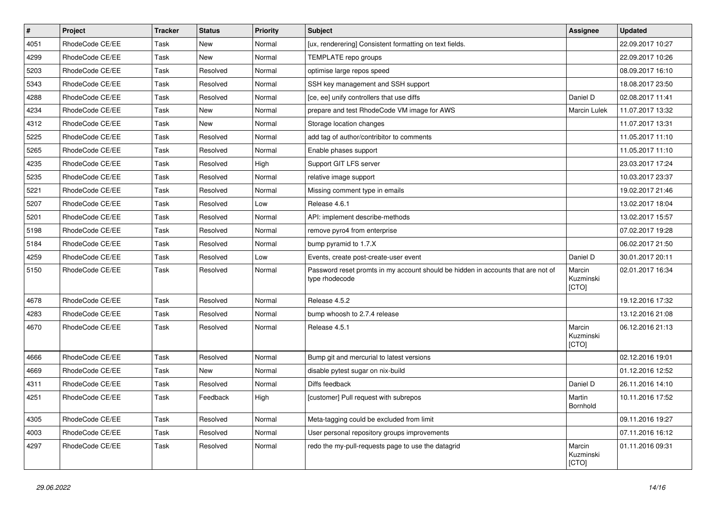| $\pmb{\#}$ | Project         | <b>Tracker</b> | <b>Status</b> | <b>Priority</b> | <b>Subject</b>                                                                                     | Assignee                     | <b>Updated</b>   |
|------------|-----------------|----------------|---------------|-----------------|----------------------------------------------------------------------------------------------------|------------------------------|------------------|
| 4051       | RhodeCode CE/EE | Task           | New           | Normal          | [ux, renderering] Consistent formatting on text fields.                                            |                              | 22.09.2017 10:27 |
| 4299       | RhodeCode CE/EE | Task           | <b>New</b>    | Normal          | TEMPLATE repo groups                                                                               |                              | 22.09.2017 10:26 |
| 5203       | RhodeCode CE/EE | Task           | Resolved      | Normal          | optimise large repos speed                                                                         |                              | 08.09.2017 16:10 |
| 5343       | RhodeCode CE/EE | Task           | Resolved      | Normal          | SSH key management and SSH support                                                                 |                              | 18.08.2017 23:50 |
| 4288       | RhodeCode CE/EE | Task           | Resolved      | Normal          | [ce, ee] unify controllers that use diffs                                                          | Daniel D                     | 02.08.2017 11:41 |
| 4234       | RhodeCode CE/EE | Task           | New           | Normal          | prepare and test RhodeCode VM image for AWS                                                        | Marcin Lulek                 | 11.07.2017 13:32 |
| 4312       | RhodeCode CE/EE | Task           | <b>New</b>    | Normal          | Storage location changes                                                                           |                              | 11.07.2017 13:31 |
| 5225       | RhodeCode CE/EE | Task           | Resolved      | Normal          | add tag of author/contribitor to comments                                                          |                              | 11.05.2017 11:10 |
| 5265       | RhodeCode CE/EE | Task           | Resolved      | Normal          | Enable phases support                                                                              |                              | 11.05.2017 11:10 |
| 4235       | RhodeCode CE/EE | Task           | Resolved      | High            | Support GIT LFS server                                                                             |                              | 23.03.2017 17:24 |
| 5235       | RhodeCode CE/EE | Task           | Resolved      | Normal          | relative image support                                                                             |                              | 10.03.2017 23:37 |
| 5221       | RhodeCode CE/EE | Task           | Resolved      | Normal          | Missing comment type in emails                                                                     |                              | 19.02.2017 21:46 |
| 5207       | RhodeCode CE/EE | Task           | Resolved      | Low             | Release 4.6.1                                                                                      |                              | 13.02.2017 18:04 |
| 5201       | RhodeCode CE/EE | Task           | Resolved      | Normal          | API: implement describe-methods                                                                    |                              | 13.02.2017 15:57 |
| 5198       | RhodeCode CE/EE | Task           | Resolved      | Normal          | remove pyro4 from enterprise                                                                       |                              | 07.02.2017 19:28 |
| 5184       | RhodeCode CE/EE | Task           | Resolved      | Normal          | bump pyramid to 1.7.X                                                                              |                              | 06.02.2017 21:50 |
| 4259       | RhodeCode CE/EE | Task           | Resolved      | Low             | Events, create post-create-user event                                                              | Daniel D                     | 30.01.2017 20:11 |
| 5150       | RhodeCode CE/EE | Task           | Resolved      | Normal          | Password reset promts in my account should be hidden in accounts that are not of<br>type rhodecode | Marcin<br>Kuzminski<br>[CTO] | 02.01.2017 16:34 |
| 4678       | RhodeCode CE/EE | Task           | Resolved      | Normal          | Release 4.5.2                                                                                      |                              | 19.12.2016 17:32 |
| 4283       | RhodeCode CE/EE | Task           | Resolved      | Normal          | bump whoosh to 2.7.4 release                                                                       |                              | 13.12.2016 21:08 |
| 4670       | RhodeCode CE/EE | Task           | Resolved      | Normal          | Release 4.5.1                                                                                      | Marcin<br>Kuzminski<br>[CTO] | 06.12.2016 21:13 |
| 4666       | RhodeCode CE/EE | Task           | Resolved      | Normal          | Bump git and mercurial to latest versions                                                          |                              | 02.12.2016 19:01 |
| 4669       | RhodeCode CE/EE | Task           | <b>New</b>    | Normal          | disable pytest sugar on nix-build                                                                  |                              | 01.12.2016 12:52 |
| 4311       | RhodeCode CE/EE | Task           | Resolved      | Normal          | Diffs feedback                                                                                     | Daniel D                     | 26.11.2016 14:10 |
| 4251       | RhodeCode CE/EE | Task           | Feedback      | High            | [customer] Pull request with subrepos                                                              | Martin<br>Bornhold           | 10.11.2016 17:52 |
| 4305       | RhodeCode CE/EE | Task           | Resolved      | Normal          | Meta-tagging could be excluded from limit                                                          |                              | 09.11.2016 19:27 |
| 4003       | RhodeCode CE/EE | Task           | Resolved      | Normal          | User personal repository groups improvements                                                       |                              | 07.11.2016 16:12 |
| 4297       | RhodeCode CE/EE | Task           | Resolved      | Normal          | redo the my-pull-requests page to use the datagrid                                                 | Marcin<br>Kuzminski<br>[CTO] | 01.11.2016 09:31 |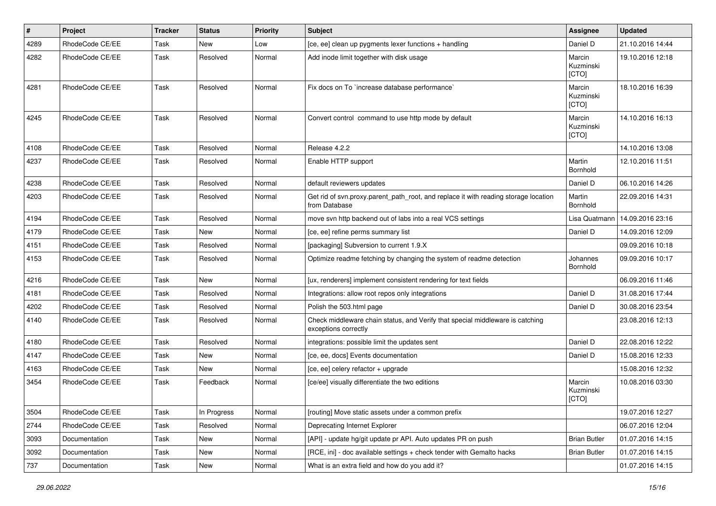| #    | Project         | <b>Tracker</b> | <b>Status</b> | <b>Priority</b> | Subject                                                                                               | Assignee                     | <b>Updated</b>   |
|------|-----------------|----------------|---------------|-----------------|-------------------------------------------------------------------------------------------------------|------------------------------|------------------|
| 4289 | RhodeCode CE/EE | Task           | New           | Low             | [ce, ee] clean up pygments lexer functions + handling                                                 | Daniel D                     | 21.10.2016 14:44 |
| 4282 | RhodeCode CE/EE | Task           | Resolved      | Normal          | Add inode limit together with disk usage                                                              | Marcin<br>Kuzminski<br>[CTO] | 19.10.2016 12:18 |
| 4281 | RhodeCode CE/EE | Task           | Resolved      | Normal          | Fix docs on To `increase database performance`                                                        | Marcin<br>Kuzminski<br>[CTO] | 18.10.2016 16:39 |
| 4245 | RhodeCode CE/EE | Task           | Resolved      | Normal          | Convert control command to use http mode by default                                                   | Marcin<br>Kuzminski<br>[CTO] | 14.10.2016 16:13 |
| 4108 | RhodeCode CE/EE | Task           | Resolved      | Normal          | Release 4.2.2                                                                                         |                              | 14.10.2016 13:08 |
| 4237 | RhodeCode CE/EE | Task           | Resolved      | Normal          | Enable HTTP support                                                                                   | Martin<br>Bornhold           | 12.10.2016 11:51 |
| 4238 | RhodeCode CE/EE | Task           | Resolved      | Normal          | default reviewers updates                                                                             | Daniel D                     | 06.10.2016 14:26 |
| 4203 | RhodeCode CE/EE | Task           | Resolved      | Normal          | Get rid of svn.proxy.parent_path_root, and replace it with reading storage location<br>from Database  | Martin<br>Bornhold           | 22.09.2016 14:31 |
| 4194 | RhodeCode CE/EE | Task           | Resolved      | Normal          | move svn http backend out of labs into a real VCS settings                                            | Lisa Quatmann                | 14.09.2016 23:16 |
| 4179 | RhodeCode CE/EE | Task           | New           | Normal          | [ce, ee] refine perms summary list                                                                    | Daniel D                     | 14.09.2016 12:09 |
| 4151 | RhodeCode CE/EE | Task           | Resolved      | Normal          | [packaging] Subversion to current 1.9.X                                                               |                              | 09.09.2016 10:18 |
| 4153 | RhodeCode CE/EE | Task           | Resolved      | Normal          | Optimize readme fetching by changing the system of readme detection                                   | Johannes<br>Bornhold         | 09.09.2016 10:17 |
| 4216 | RhodeCode CE/EE | Task           | <b>New</b>    | Normal          | [ux, renderers] implement consistent rendering for text fields                                        |                              | 06.09.2016 11:46 |
| 4181 | RhodeCode CE/EE | Task           | Resolved      | Normal          | Integrations: allow root repos only integrations                                                      | Daniel D                     | 31.08.2016 17:44 |
| 4202 | RhodeCode CE/EE | Task           | Resolved      | Normal          | Polish the 503.html page                                                                              | Daniel D                     | 30.08.2016 23:54 |
| 4140 | RhodeCode CE/EE | Task           | Resolved      | Normal          | Check middleware chain status, and Verify that special middleware is catching<br>exceptions correctly |                              | 23.08.2016 12:13 |
| 4180 | RhodeCode CE/EE | Task           | Resolved      | Normal          | integrations: possible limit the updates sent                                                         | Daniel D                     | 22.08.2016 12:22 |
| 4147 | RhodeCode CE/EE | Task           | New           | Normal          | [ce, ee, docs] Events documentation                                                                   | Daniel D                     | 15.08.2016 12:33 |
| 4163 | RhodeCode CE/EE | Task           | New           | Normal          | [ce, ee] celery refactor + upgrade                                                                    |                              | 15.08.2016 12:32 |
| 3454 | RhodeCode CE/EE | Task           | Feedback      | Normal          | [ce/ee] visually differentiate the two editions                                                       | Marcin<br>Kuzminski<br>[CTO] | 10.08.2016 03:30 |
| 3504 | RhodeCode CE/EE | Task           | In Progress   | Normal          | [routing] Move static assets under a common prefix                                                    |                              | 19.07.2016 12:27 |
| 2744 | RhodeCode CE/EE | Task           | Resolved      | Normal          | Deprecating Internet Explorer                                                                         |                              | 06.07.2016 12:04 |
| 3093 | Documentation   | Task           | New           | Normal          | [API] - update hg/git update pr API. Auto updates PR on push                                          | <b>Brian Butler</b>          | 01.07.2016 14:15 |
| 3092 | Documentation   | Task           | New           | Normal          | [RCE, ini] - doc available settings + check tender with Gemalto hacks                                 | <b>Brian Butler</b>          | 01.07.2016 14:15 |
| 737  | Documentation   | Task           | New           | Normal          | What is an extra field and how do you add it?                                                         |                              | 01.07.2016 14:15 |